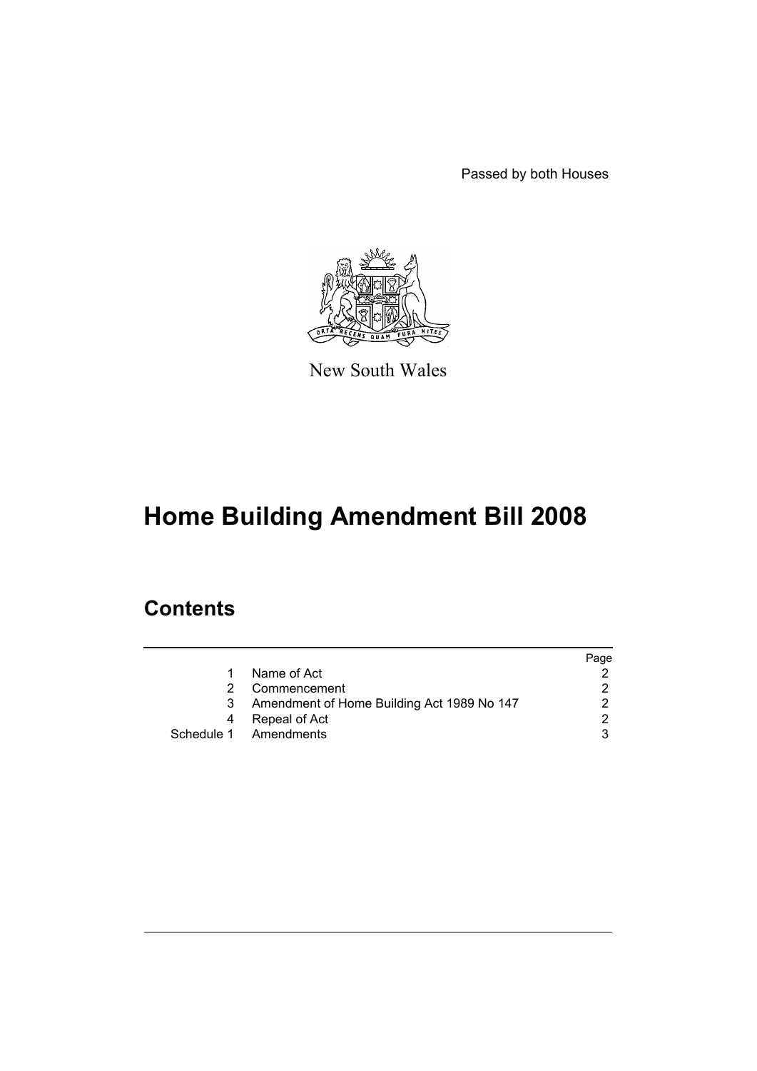Passed by both Houses



New South Wales

# **Home Building Amendment Bill 2008**

## **Contents**

|   |                                            | Page |
|---|--------------------------------------------|------|
| 1 | Name of Act                                |      |
|   | Commencement                               |      |
| 3 | Amendment of Home Building Act 1989 No 147 |      |
| 4 | Repeal of Act                              | ົ    |
|   | Schedule 1 Amendments                      |      |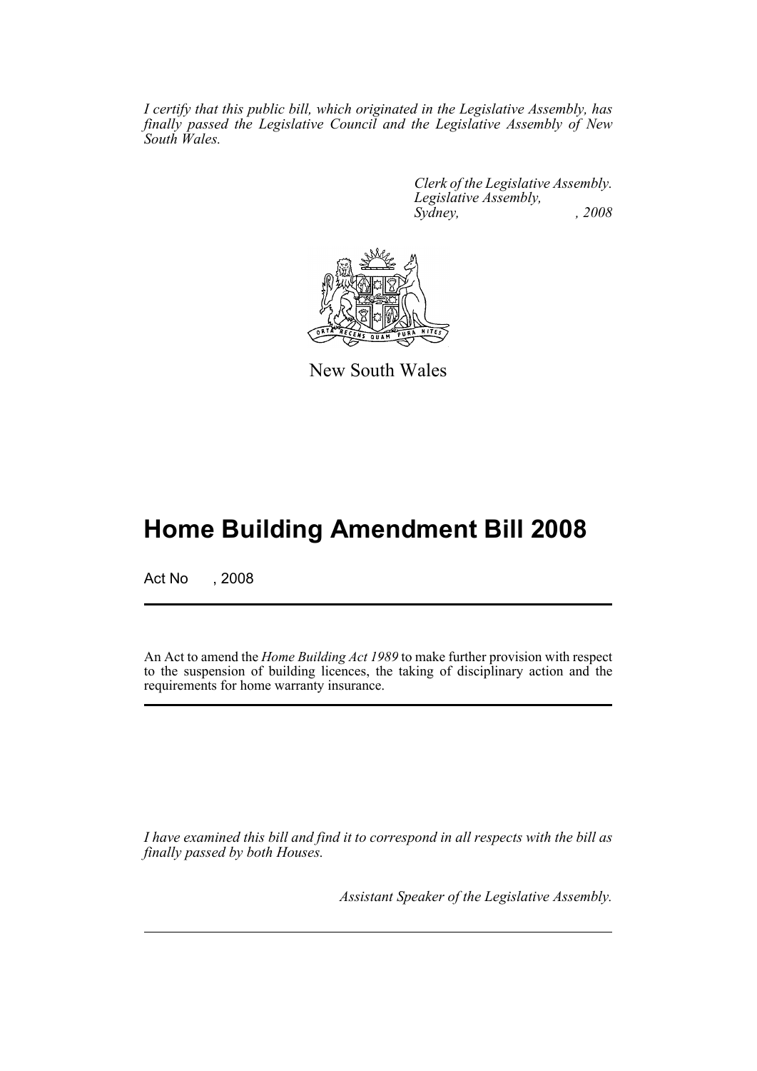*I certify that this public bill, which originated in the Legislative Assembly, has finally passed the Legislative Council and the Legislative Assembly of New South Wales.*

> *Clerk of the Legislative Assembly. Legislative Assembly, Sydney, , 2008*



New South Wales

## **Home Building Amendment Bill 2008**

Act No , 2008

An Act to amend the *Home Building Act 1989* to make further provision with respect to the suspension of building licences, the taking of disciplinary action and the requirements for home warranty insurance.

*I have examined this bill and find it to correspond in all respects with the bill as finally passed by both Houses.*

*Assistant Speaker of the Legislative Assembly.*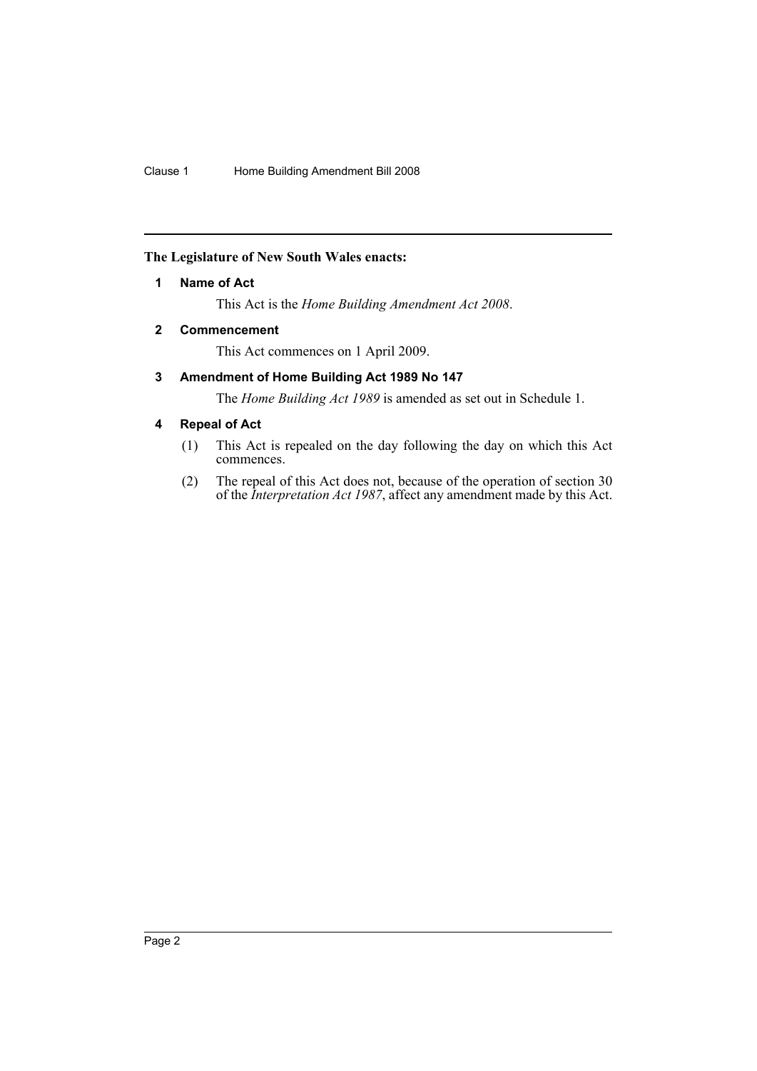### <span id="page-3-0"></span>**The Legislature of New South Wales enacts:**

## **1 Name of Act**

This Act is the *Home Building Amendment Act 2008*.

## <span id="page-3-1"></span>**2 Commencement**

This Act commences on 1 April 2009.

## <span id="page-3-2"></span>**3 Amendment of Home Building Act 1989 No 147**

The *Home Building Act 1989* is amended as set out in Schedule 1.

## <span id="page-3-3"></span>**4 Repeal of Act**

- (1) This Act is repealed on the day following the day on which this Act commences.
- (2) The repeal of this Act does not, because of the operation of section 30 of the *Interpretation Act 1987*, affect any amendment made by this Act.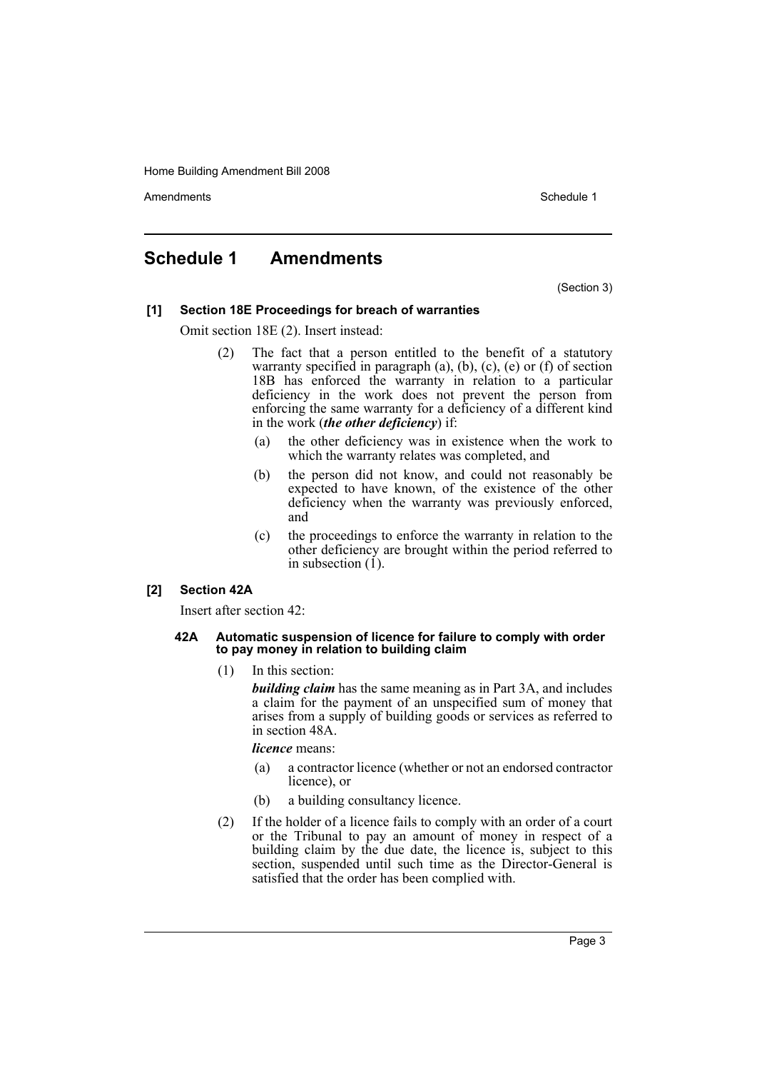Amendments **Amendments** Schedule 1

## <span id="page-4-0"></span>**Schedule 1 Amendments**

(Section 3)

#### **[1] Section 18E Proceedings for breach of warranties**

Omit section 18E (2). Insert instead:

- (2) The fact that a person entitled to the benefit of a statutory warranty specified in paragraph  $(a)$ ,  $(b)$ ,  $(c)$ ,  $(e)$  or  $(f)$  of section 18B has enforced the warranty in relation to a particular deficiency in the work does not prevent the person from enforcing the same warranty for a deficiency of a different kind in the work (*the other deficiency*) if:
	- (a) the other deficiency was in existence when the work to which the warranty relates was completed, and
	- (b) the person did not know, and could not reasonably be expected to have known, of the existence of the other deficiency when the warranty was previously enforced, and
	- (c) the proceedings to enforce the warranty in relation to the other deficiency are brought within the period referred to in subsection  $(1)$ .

#### **[2] Section 42A**

Insert after section 42:

#### **42A Automatic suspension of licence for failure to comply with order to pay money in relation to building claim**

(1) In this section:

*building claim* has the same meaning as in Part 3A, and includes a claim for the payment of an unspecified sum of money that arises from a supply of building goods or services as referred to in section 48A.

*licence* means:

- (a) a contractor licence (whether or not an endorsed contractor licence), or
- (b) a building consultancy licence.
- (2) If the holder of a licence fails to comply with an order of a court or the Tribunal to pay an amount of money in respect of a building claim by the due date, the licence is, subject to this section, suspended until such time as the Director-General is satisfied that the order has been complied with.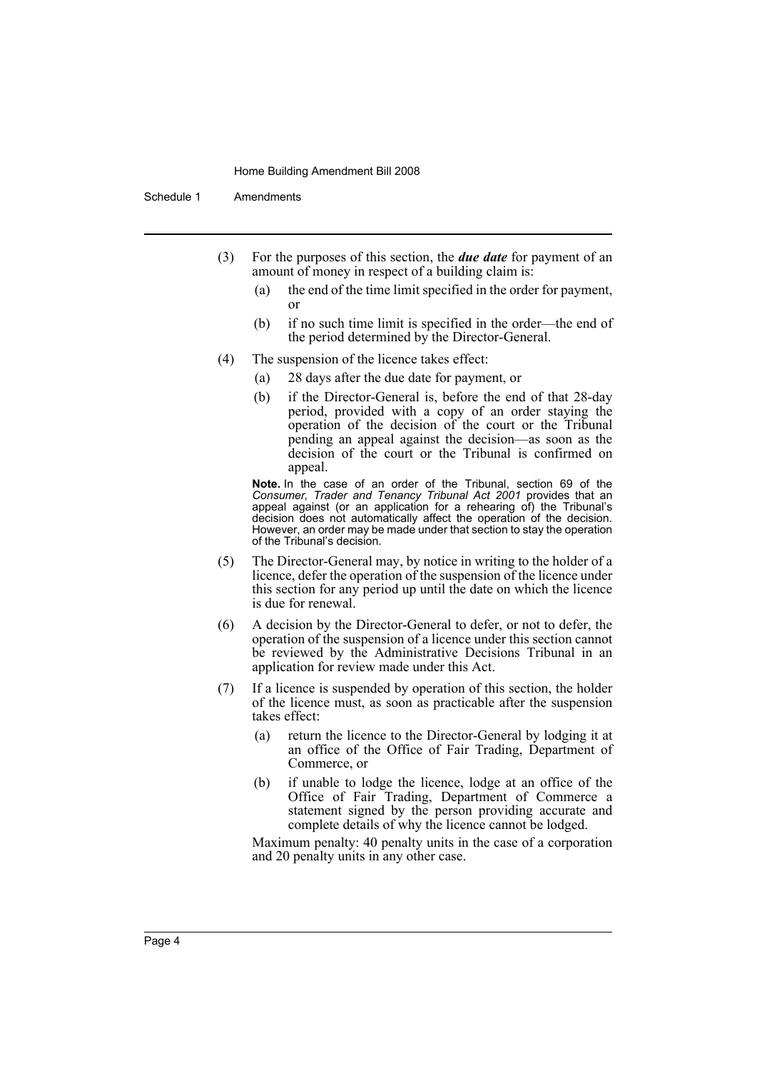Schedule 1 Amendments

- (3) For the purposes of this section, the *due date* for payment of an amount of money in respect of a building claim is:
	- (a) the end of the time limit specified in the order for payment, or
	- (b) if no such time limit is specified in the order—the end of the period determined by the Director-General.
- (4) The suspension of the licence takes effect:
	- (a) 28 days after the due date for payment, or
	- (b) if the Director-General is, before the end of that 28-day period, provided with a copy of an order staying the operation of the decision of the court or the Tribunal pending an appeal against the decision—as soon as the decision of the court or the Tribunal is confirmed on appeal.

**Note.** In the case of an order of the Tribunal, section 69 of the *Consumer, Trader and Tenancy Tribunal Act 2001* provides that an appeal against (or an application for a rehearing of) the Tribunal's decision does not automatically affect the operation of the decision. However, an order may be made under that section to stay the operation of the Tribunal's decision.

- (5) The Director-General may, by notice in writing to the holder of a licence, defer the operation of the suspension of the licence under this section for any period up until the date on which the licence is due for renewal.
- (6) A decision by the Director-General to defer, or not to defer, the operation of the suspension of a licence under this section cannot be reviewed by the Administrative Decisions Tribunal in an application for review made under this Act.
- (7) If a licence is suspended by operation of this section, the holder of the licence must, as soon as practicable after the suspension takes effect:
	- (a) return the licence to the Director-General by lodging it at an office of the Office of Fair Trading, Department of Commerce, or
	- (b) if unable to lodge the licence, lodge at an office of the Office of Fair Trading, Department of Commerce a statement signed by the person providing accurate and complete details of why the licence cannot be lodged.

Maximum penalty: 40 penalty units in the case of a corporation and 20 penalty units in any other case.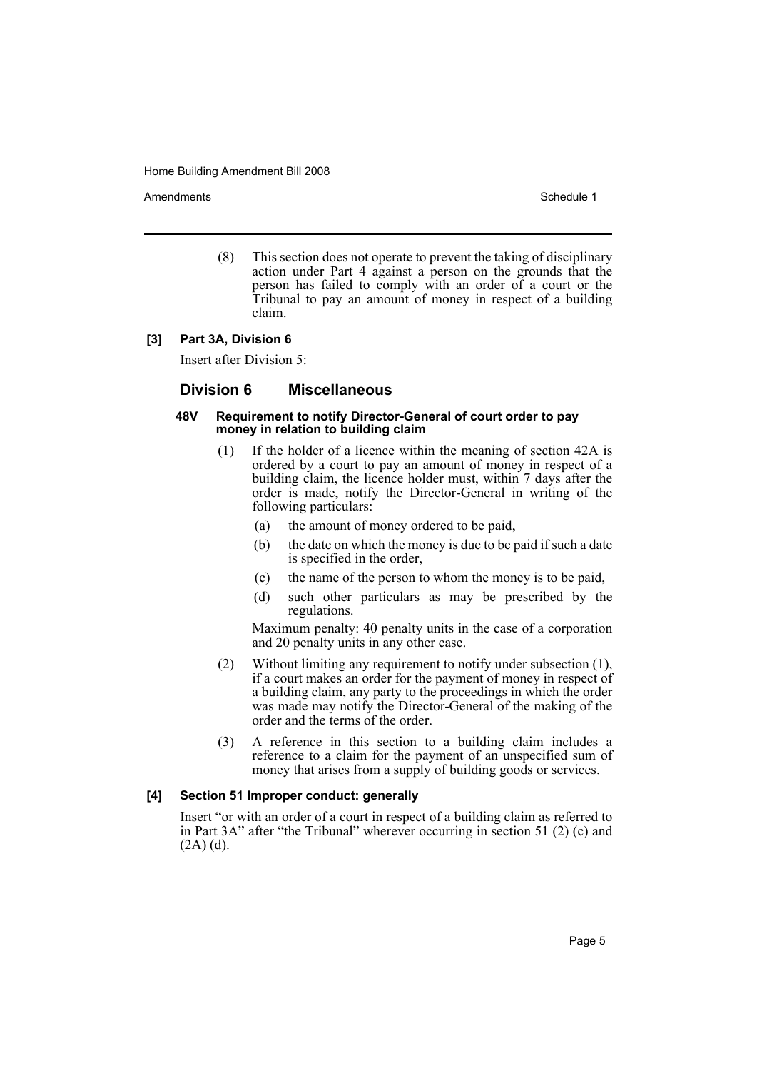Amendments **Amendments** Schedule 1

(8) This section does not operate to prevent the taking of disciplinary action under Part 4 against a person on the grounds that the person has failed to comply with an order of a court or the Tribunal to pay an amount of money in respect of a building claim.

#### **[3] Part 3A, Division 6**

Insert after Division 5:

#### **Division 6 Miscellaneous**

#### **48V Requirement to notify Director-General of court order to pay money in relation to building claim**

- (1) If the holder of a licence within the meaning of section 42A is ordered by a court to pay an amount of money in respect of a building claim, the licence holder must, within 7 days after the order is made, notify the Director-General in writing of the following particulars:
	- (a) the amount of money ordered to be paid,
	- (b) the date on which the money is due to be paid if such a date is specified in the order,
	- (c) the name of the person to whom the money is to be paid,
	- (d) such other particulars as may be prescribed by the regulations.

Maximum penalty: 40 penalty units in the case of a corporation and 20 penalty units in any other case.

- (2) Without limiting any requirement to notify under subsection (1), if a court makes an order for the payment of money in respect of a building claim, any party to the proceedings in which the order was made may notify the Director-General of the making of the order and the terms of the order.
- (3) A reference in this section to a building claim includes a reference to a claim for the payment of an unspecified sum of money that arises from a supply of building goods or services.

#### **[4] Section 51 Improper conduct: generally**

Insert "or with an order of a court in respect of a building claim as referred to in Part 3A" after "the Tribunal" wherever occurring in section 51 (2) (c) and  $(2A)$  (d).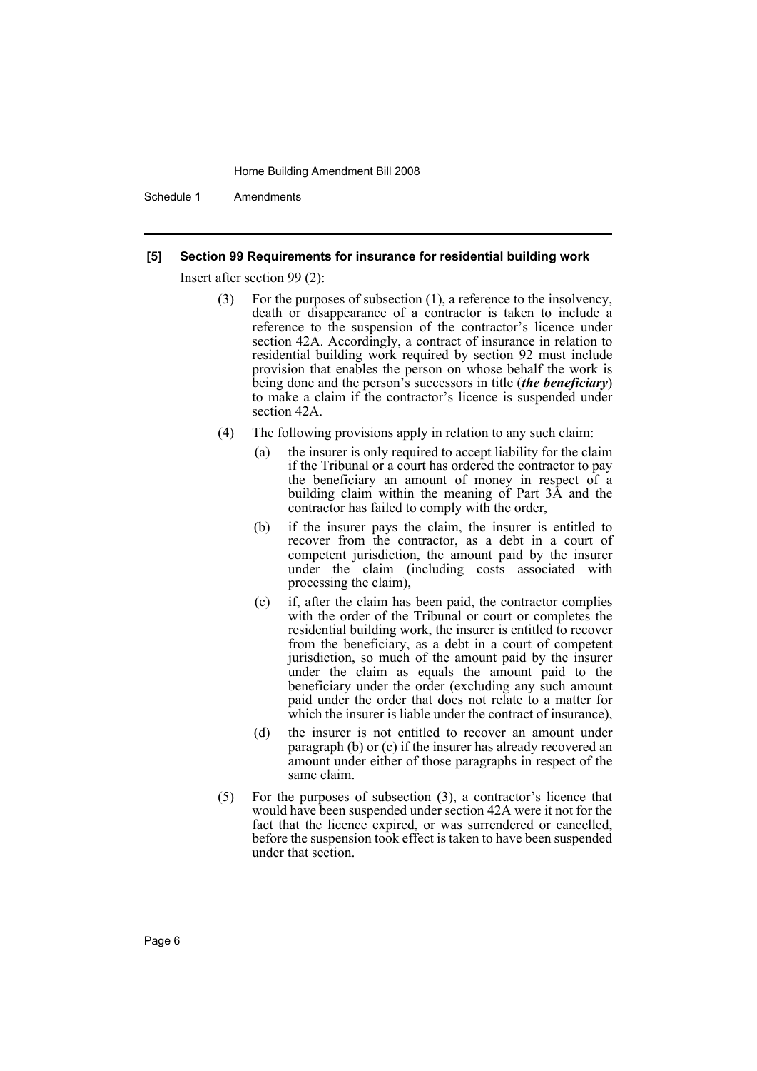Schedule 1 Amendments

#### **[5] Section 99 Requirements for insurance for residential building work**

Insert after section 99 (2):

- (3) For the purposes of subsection (1), a reference to the insolvency, death or disappearance of a contractor is taken to include a reference to the suspension of the contractor's licence under section 42A. Accordingly, a contract of insurance in relation to residential building work required by section 92 must include provision that enables the person on whose behalf the work is being done and the person's successors in title (*the beneficiary*) to make a claim if the contractor's licence is suspended under section 42A.
- (4) The following provisions apply in relation to any such claim:
	- (a) the insurer is only required to accept liability for the claim if the Tribunal or a court has ordered the contractor to pay the beneficiary an amount of money in respect of a building claim within the meaning of Part 3A and the contractor has failed to comply with the order,
	- (b) if the insurer pays the claim, the insurer is entitled to recover from the contractor, as a debt in a court of competent jurisdiction, the amount paid by the insurer under the claim (including costs associated with processing the claim),
	- (c) if, after the claim has been paid, the contractor complies with the order of the Tribunal or court or completes the residential building work, the insurer is entitled to recover from the beneficiary, as a debt in a court of competent jurisdiction, so much of the amount paid by the insurer under the claim as equals the amount paid to the beneficiary under the order (excluding any such amount paid under the order that does not relate to a matter for which the insurer is liable under the contract of insurance),
	- (d) the insurer is not entitled to recover an amount under paragraph (b) or (c) if the insurer has already recovered an amount under either of those paragraphs in respect of the same claim.
- (5) For the purposes of subsection (3), a contractor's licence that would have been suspended under section 42A were it not for the fact that the licence expired, or was surrendered or cancelled, before the suspension took effect is taken to have been suspended under that section.